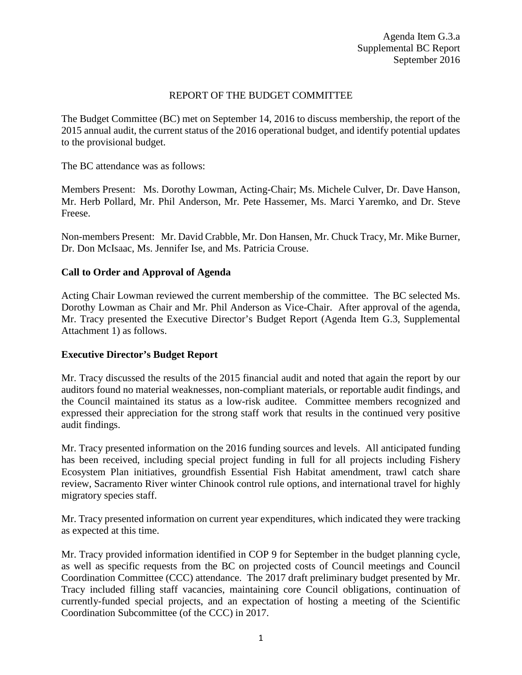# REPORT OF THE BUDGET COMMITTEE

The Budget Committee (BC) met on September 14, 2016 to discuss membership, the report of the 2015 annual audit, the current status of the 2016 operational budget, and identify potential updates to the provisional budget.

The BC attendance was as follows:

Members Present: Ms. Dorothy Lowman, Acting-Chair; Ms. Michele Culver, Dr. Dave Hanson, Mr. Herb Pollard, Mr. Phil Anderson, Mr. Pete Hassemer, Ms. Marci Yaremko, and Dr. Steve Freese.

Non-members Present: Mr. David Crabble, Mr. Don Hansen, Mr. Chuck Tracy, Mr. Mike Burner, Dr. Don McIsaac, Ms. Jennifer Ise, and Ms. Patricia Crouse.

# **Call to Order and Approval of Agenda**

Acting Chair Lowman reviewed the current membership of the committee. The BC selected Ms. Dorothy Lowman as Chair and Mr. Phil Anderson as Vice-Chair. After approval of the agenda, Mr. Tracy presented the Executive Director's Budget Report (Agenda Item G.3, Supplemental Attachment 1) as follows.

## **Executive Director's Budget Report**

Mr. Tracy discussed the results of the 2015 financial audit and noted that again the report by our auditors found no material weaknesses, non-compliant materials, or reportable audit findings, and the Council maintained its status as a low-risk auditee. Committee members recognized and expressed their appreciation for the strong staff work that results in the continued very positive audit findings.

Mr. Tracy presented information on the 2016 funding sources and levels. All anticipated funding has been received, including special project funding in full for all projects including Fishery Ecosystem Plan initiatives, groundfish Essential Fish Habitat amendment, trawl catch share review, Sacramento River winter Chinook control rule options, and international travel for highly migratory species staff.

Mr. Tracy presented information on current year expenditures, which indicated they were tracking as expected at this time.

Mr. Tracy provided information identified in COP 9 for September in the budget planning cycle, as well as specific requests from the BC on projected costs of Council meetings and Council Coordination Committee (CCC) attendance. The 2017 draft preliminary budget presented by Mr. Tracy included filling staff vacancies, maintaining core Council obligations, continuation of currently-funded special projects, and an expectation of hosting a meeting of the Scientific Coordination Subcommittee (of the CCC) in 2017.